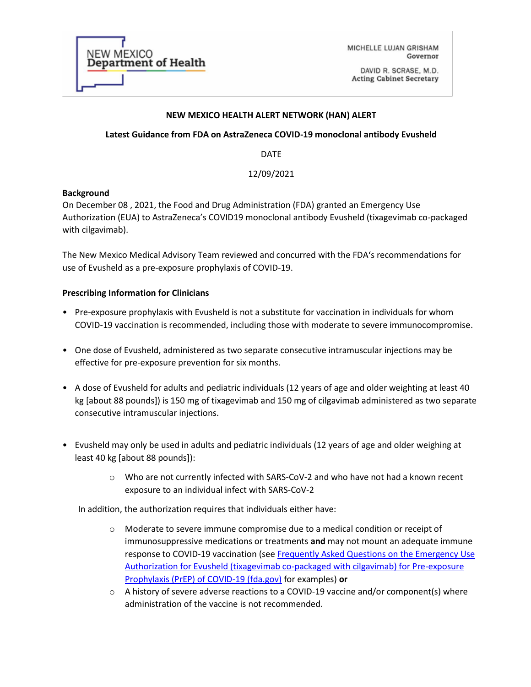| <b>NEW MEXICO</b><br><b>Department of Health</b> |
|--------------------------------------------------|
|                                                  |

MICHELLE LUJAN GRISHAM Governor

DAVID R. SCRASE, M.D. **Acting Cabinet Secretary** 

## **NEW MEXICO HEALTH ALERT NETWORK (HAN) ALERT**

# **Latest Guidance from FDA on AstraZeneca COVID-19 monoclonal antibody Evusheld**

DATE

# 12/09/2021

## **Background**

On December 08 , 2021, the Food and Drug Administration (FDA) granted an Emergency Use Authorization (EUA) to AstraZeneca's COVID19 monoclonal antibody Evusheld (tixagevimab co-packaged with cilgavimab).

The New Mexico Medical Advisory Team reviewed and concurred with the FDA's recommendations for use of Evusheld as a pre-exposure prophylaxis of COVID-19.

## **Prescribing Information for Clinicians**

- Pre-exposure prophylaxis with Evusheld is not a substitute for vaccination in individuals for whom COVID-19 vaccination is recommended, including those with moderate to severe immunocompromise.
- One dose of Evusheld, administered as two separate consecutive intramuscular injections may be effective for pre-exposure prevention for six months.
- A dose of Evusheld for adults and pediatric individuals (12 years of age and older weighting at least 40 kg [about 88 pounds]) is 150 mg of tixagevimab and 150 mg of cilgavimab administered as two separate consecutive intramuscular injections.
- Evusheld may only be used in adults and pediatric individuals (12 years of age and older weighing at least 40 kg [about 88 pounds]):
	- o Who are not currently infected with SARS-CoV-2 and who have not had a known recent exposure to an individual infect with SARS-CoV-2

In addition, the authorization requires that individuals either have:

- o Moderate to severe immune compromise due to a medical condition or receipt of immunosuppressive medications or treatments **and** may not mount an adequate immune response to COVID-19 vaccination (see [Frequently Asked Questions on the Emergency Use](https://www.fda.gov/media/154703/download)  [Authorization for Evusheld \(tixagevimab co-packaged with cilgavimab\) for Pre-exposure](https://www.fda.gov/media/154703/download)  [Prophylaxis \(PrEP\) of COVID-19 \(fda.gov\)](https://www.fda.gov/media/154703/download) for examples) **or**
- $\circ$  A history of severe adverse reactions to a COVID-19 vaccine and/or component(s) where administration of the vaccine is not recommended.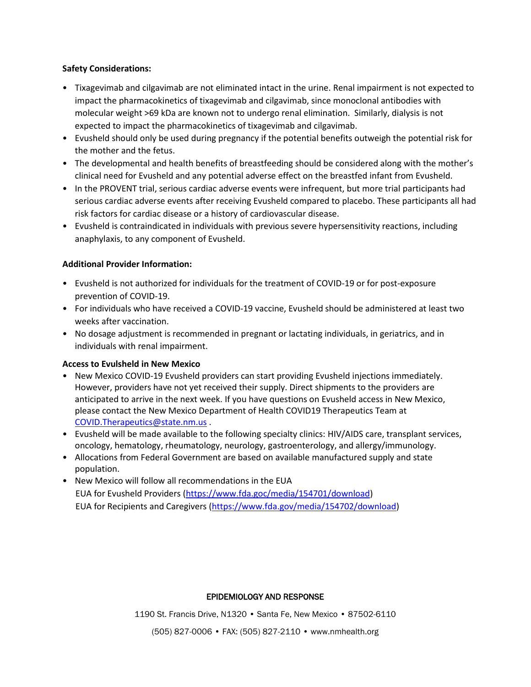## **Safety Considerations:**

- Tixagevimab and cilgavimab are not eliminated intact in the urine. Renal impairment is not expected to impact the pharmacokinetics of tixagevimab and cilgavimab, since monoclonal antibodies with molecular weight >69 kDa are known not to undergo renal elimination. Similarly, dialysis is not expected to impact the pharmacokinetics of tixagevimab and cilgavimab.
- Evusheld should only be used during pregnancy if the potential benefits outweigh the potential risk for the mother and the fetus.
- The developmental and health benefits of breastfeeding should be considered along with the mother's clinical need for Evusheld and any potential adverse effect on the breastfed infant from Evusheld.
- In the PROVENT trial, serious cardiac adverse events were infrequent, but more trial participants had serious cardiac adverse events after receiving Evusheld compared to placebo. These participants all had risk factors for cardiac disease or a history of cardiovascular disease.
- Evusheld is contraindicated in individuals with previous severe hypersensitivity reactions, including anaphylaxis, to any component of Evusheld.

## **Additional Provider Information:**

- Evusheld is not authorized for individuals for the treatment of COVID-19 or for post-exposure prevention of COVID-19.
- For individuals who have received a COVID-19 vaccine, Evusheld should be administered at least two weeks after vaccination.
- No dosage adjustment is recommended in pregnant or lactating individuals, in geriatrics, and in individuals with renal impairment.

# **Access to Evulsheld in New Mexico**

- New Mexico COVID-19 Evusheld providers can start providing Evusheld injections immediately. However, providers have not yet received their supply. Direct shipments to the providers are anticipated to arrive in the next week. If you have questions on Evusheld access in New Mexico, please contact the New Mexico Department of Health COVID19 Therapeutics Team at [COVID.Therapeutics@state.nm.us](mailto:COVID.Therapeutics@state.nm.us) .
- Evusheld will be made available to the following specialty clinics: HIV/AIDS care, transplant services, oncology, hematology, rheumatology, neurology, gastroenterology, and allergy/immunology.
- Allocations from Federal Government are based on available manufactured supply and state population.
- New Mexico will follow all recommendations in the EUA EUA for Evusheld Providers [\(https://www.fda.goc/media/154701/download\)](https://www.fda.goc/media/154701/download) EUA for Recipients and Caregivers [\(https://www.fda.gov/media/154702/download\)](https://www.fda.gov/media/154702/download)

## EPIDEMIOLOGY AND RESPONSE

1190 St. Francis Drive, N1320 • Santa Fe, New Mexico • 87502-6110

(505) 827-0006 • FAX: (505) 827-2110 • www.nmhealth.org